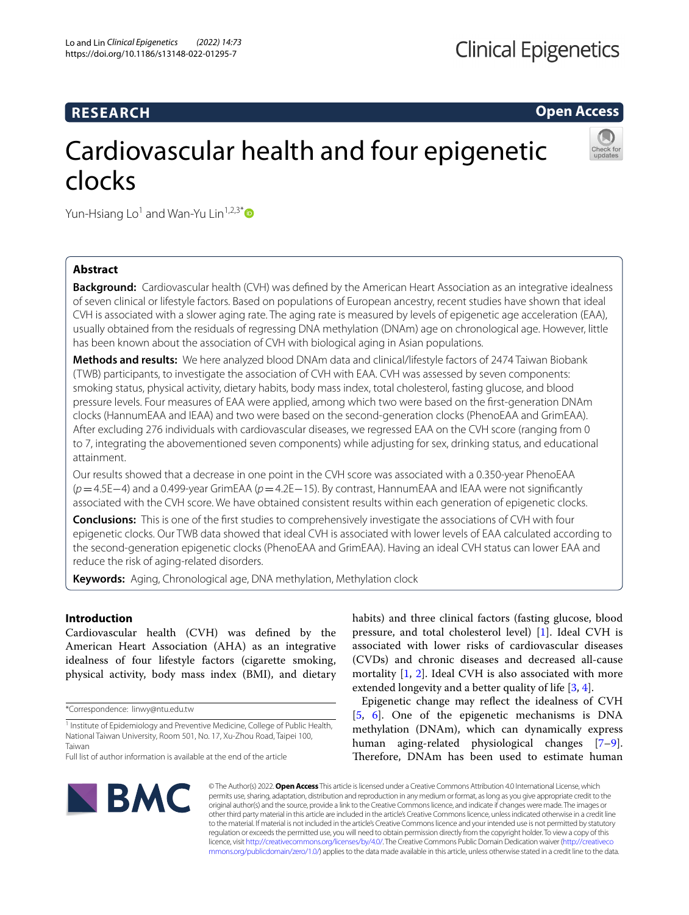## **RESEARCH**

**Open Access**

# Cardiovascular health and four epigenetic clocks



Yun-Hsiang Lo<sup>1</sup> and Wan-Yu Lin<sup>1,2,3\*</sup> $\bullet$ 

## **Abstract**

**Background:** Cardiovascular health (CVH) was defned by the American Heart Association as an integrative idealness of seven clinical or lifestyle factors. Based on populations of European ancestry, recent studies have shown that ideal CVH is associated with a slower aging rate. The aging rate is measured by levels of epigenetic age acceleration (EAA), usually obtained from the residuals of regressing DNA methylation (DNAm) age on chronological age. However, little has been known about the association of CVH with biological aging in Asian populations.

**Methods and results:** We here analyzed blood DNAm data and clinical/lifestyle factors of 2474 Taiwan Biobank (TWB) participants, to investigate the association of CVH with EAA. CVH was assessed by seven components: smoking status, physical activity, dietary habits, body mass index, total cholesterol, fasting glucose, and blood pressure levels. Four measures of EAA were applied, among which two were based on the frst-generation DNAm clocks (HannumEAA and IEAA) and two were based on the second-generation clocks (PhenoEAA and GrimEAA). After excluding 276 individuals with cardiovascular diseases, we regressed EAA on the CVH score (ranging from 0 to 7, integrating the abovementioned seven components) while adjusting for sex, drinking status, and educational attainment.

Our results showed that a decrease in one point in the CVH score was associated with a 0.350-year PhenoEAA (*p*=4.5E−4) and a 0.499-year GrimEAA (*p*=4.2E−15). By contrast, HannumEAA and IEAA were not signifcantly associated with the CVH score. We have obtained consistent results within each generation of epigenetic clocks.

**Conclusions:** This is one of the frst studies to comprehensively investigate the associations of CVH with four epigenetic clocks. Our TWB data showed that ideal CVH is associated with lower levels of EAA calculated according to the second-generation epigenetic clocks (PhenoEAA and GrimEAA). Having an ideal CVH status can lower EAA and reduce the risk of aging-related disorders.

**Keywords:** Aging, Chronological age, DNA methylation, Methylation clock

## **Introduction**

Cardiovascular health (CVH) was defned by the American Heart Association (AHA) as an integrative idealness of four lifestyle factors (cigarette smoking, physical activity, body mass index (BMI), and dietary

\*Correspondence: linwy@ntu.edu.tw

habits) and three clinical factors (fasting glucose, blood pressure, and total cholesterol level) [\[1\]](#page-8-0). Ideal CVH is associated with lower risks of cardiovascular diseases (CVDs) and chronic diseases and decreased all-cause mortality [\[1](#page-8-0), [2](#page-8-1)]. Ideal CVH is also associated with more extended longevity and a better quality of life [[3,](#page-8-2) [4](#page-8-3)].

Epigenetic change may refect the idealness of CVH [[5,](#page-8-4) [6\]](#page-8-5). One of the epigenetic mechanisms is DNA methylation (DNAm), which can dynamically express human aging-related physiological changes [\[7](#page-8-6)[–9](#page-8-7)]. Therefore, DNAm has been used to estimate human



© The Author(s) 2022. **Open Access** This article is licensed under a Creative Commons Attribution 4.0 International License, which permits use, sharing, adaptation, distribution and reproduction in any medium or format, as long as you give appropriate credit to the original author(s) and the source, provide a link to the Creative Commons licence, and indicate if changes were made. The images or other third party material in this article are included in the article's Creative Commons licence, unless indicated otherwise in a credit line to the material. If material is not included in the article's Creative Commons licence and your intended use is not permitted by statutory regulation or exceeds the permitted use, you will need to obtain permission directly from the copyright holder. To view a copy of this licence, visit [http://creativecommons.org/licenses/by/4.0/.](http://creativecommons.org/licenses/by/4.0/) The Creative Commons Public Domain Dedication waiver ([http://creativeco](http://creativecommons.org/publicdomain/zero/1.0/) [mmons.org/publicdomain/zero/1.0/](http://creativecommons.org/publicdomain/zero/1.0/)) applies to the data made available in this article, unless otherwise stated in a credit line to the data.

<sup>&</sup>lt;sup>1</sup> Institute of Epidemiology and Preventive Medicine, College of Public Health, National Taiwan University, Room 501, No. 17, Xu‑Zhou Road, Taipei 100, Taiwan

Full list of author information is available at the end of the article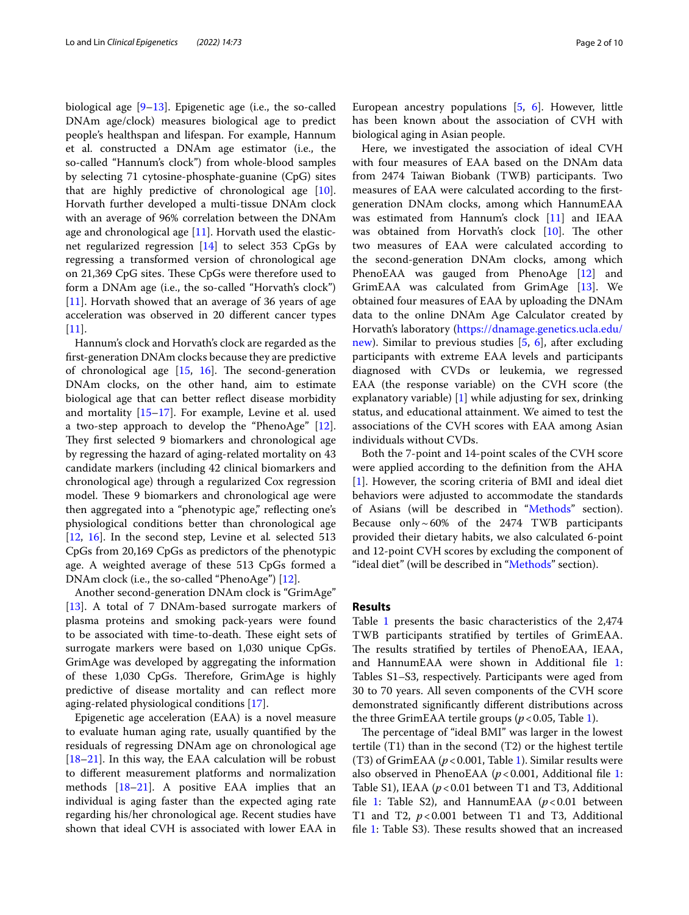biological age [\[9](#page-8-7)[–13\]](#page-8-8). Epigenetic age (i.e., the so-called DNAm age/clock) measures biological age to predict people's healthspan and lifespan. For example, Hannum et al. constructed a DNAm age estimator (i.e., the so-called "Hannum's clock") from whole-blood samples by selecting 71 cytosine-phosphate-guanine (CpG) sites that are highly predictive of chronological age [\[10](#page-8-9)]. Horvath further developed a multi-tissue DNAm clock with an average of 96% correlation between the DNAm age and chronological age [[11\]](#page-8-10). Horvath used the elasticnet regularized regression [\[14](#page-8-11)] to select 353 CpGs by regressing a transformed version of chronological age on 21,369 CpG sites. These CpGs were therefore used to form a DNAm age (i.e., the so-called "Horvath's clock") [[11\]](#page-8-10). Horvath showed that an average of 36 years of age acceleration was observed in 20 diferent cancer types  $[11]$  $[11]$ .

Hannum's clock and Horvath's clock are regarded as the frst-generation DNAm clocks because they are predictive of chronological age  $[15, 16]$  $[15, 16]$  $[15, 16]$  $[15, 16]$  $[15, 16]$ . The second-generation DNAm clocks, on the other hand, aim to estimate biological age that can better refect disease morbidity and mortality [\[15](#page-8-12)[–17\]](#page-8-14). For example, Levine et al. used a two-step approach to develop the "PhenoAge" [\[12](#page-8-15)]. They first selected 9 biomarkers and chronological age by regressing the hazard of aging-related mortality on 43 candidate markers (including 42 clinical biomarkers and chronological age) through a regularized Cox regression model. These 9 biomarkers and chronological age were then aggregated into a "phenotypic age," reflecting one's physiological conditions better than chronological age [[12,](#page-8-15) [16\]](#page-8-13). In the second step, Levine et al*.* selected 513 CpGs from 20,169 CpGs as predictors of the phenotypic age. A weighted average of these 513 CpGs formed a DNAm clock (i.e., the so-called "PhenoAge") [\[12](#page-8-15)].

Another second-generation DNAm clock is "GrimAge" [[13\]](#page-8-8). A total of 7 DNAm-based surrogate markers of plasma proteins and smoking pack-years were found to be associated with time-to-death. These eight sets of surrogate markers were based on 1,030 unique CpGs. GrimAge was developed by aggregating the information of these 1,030 CpGs. Therefore, GrimAge is highly predictive of disease mortality and can refect more aging-related physiological conditions [\[17\]](#page-8-14).

Epigenetic age acceleration (EAA) is a novel measure to evaluate human aging rate, usually quantifed by the residuals of regressing DNAm age on chronological age [[18–](#page-8-16)[21](#page-8-17)]. In this way, the EAA calculation will be robust to diferent measurement platforms and normalization methods [[18](#page-8-16)[–21](#page-8-17)]. A positive EAA implies that an individual is aging faster than the expected aging rate regarding his/her chronological age. Recent studies have shown that ideal CVH is associated with lower EAA in European ancestry populations [\[5,](#page-8-4) [6\]](#page-8-5). However, little has been known about the association of CVH with biological aging in Asian people.

Here, we investigated the association of ideal CVH with four measures of EAA based on the DNAm data from 2474 Taiwan Biobank (TWB) participants. Two measures of EAA were calculated according to the frstgeneration DNAm clocks, among which HannumEAA was estimated from Hannum's clock [\[11](#page-8-10)] and IEAA was obtained from Horvath's clock [[10\]](#page-8-9). The other two measures of EAA were calculated according to the second-generation DNAm clocks, among which PhenoEAA was gauged from PhenoAge [[12\]](#page-8-15) and GrimEAA was calculated from GrimAge [\[13\]](#page-8-8). We obtained four measures of EAA by uploading the DNAm data to the online DNAm Age Calculator created by Horvath's laboratory [\(https://dnamage.genetics.ucla.edu/](https://dnamage.genetics.ucla.edu/new) [new\)](https://dnamage.genetics.ucla.edu/new). Similar to previous studies [\[5](#page-8-4), [6](#page-8-5)], after excluding participants with extreme EAA levels and participants diagnosed with CVDs or leukemia, we regressed EAA (the response variable) on the CVH score (the explanatory variable)  $[1]$  $[1]$  while adjusting for sex, drinking status, and educational attainment. We aimed to test the associations of the CVH scores with EAA among Asian individuals without CVDs.

Both the 7-point and 14-point scales of the CVH score were applied according to the defnition from the AHA [[1\]](#page-8-0). However, the scoring criteria of BMI and ideal diet behaviors were adjusted to accommodate the standards of Asians (will be described in ["Methods"](#page-5-0) section). Because only $\sim 60\%$  of the 2474 TWB participants provided their dietary habits, we also calculated 6-point and 12-point CVH scores by excluding the component of "ideal diet" (will be described in ["Methods"](#page-5-0) section).

#### **Results**

Table [1](#page-2-0) presents the basic characteristics of the 2,474 TWB participants stratifed by tertiles of GrimEAA. The results stratified by tertiles of PhenoEAA, IEAA, and HannumEAA were shown in Additional fle [1](#page-7-0): Tables S1–S3, respectively. Participants were aged from 30 to 70 years. All seven components of the CVH score demonstrated signifcantly diferent distributions across the three GrimEAA tertile groups (*p*<0.05, Table [1](#page-2-0)).

The percentage of "ideal BMI" was larger in the lowest tertile (T1) than in the second (T2) or the highest tertile (T3) of GrimEAA ( $p < 0.001$ , Table [1\)](#page-2-0). Similar results were also observed in PhenoEAA (*p*<0.001, Additional fle [1](#page-7-0): Table S1), IEAA (*p*<0.01 between T1 and T3, Additional fle [1](#page-7-0): Table S2), and HannumEAA (*p*<0.01 between T1 and T2,  $p < 0.001$  between T1 and T3, Additional file [1](#page-7-0): Table S3). These results showed that an increased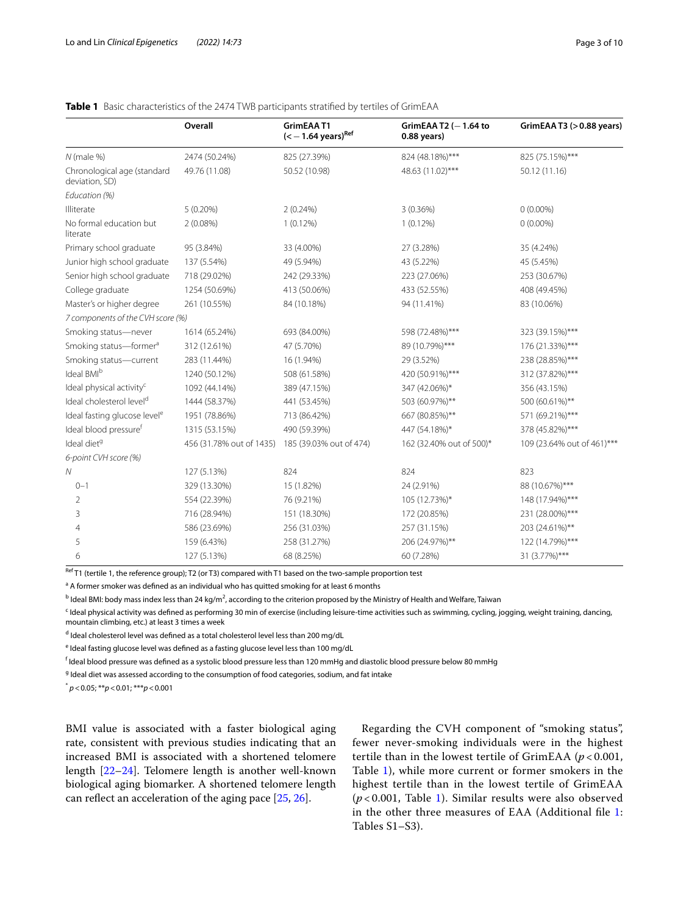|                                               | Overall                  | GrimEAAT1<br>$(< -1.64 \text{ years})^{\text{Ref}}$ | GrimEAA T2 $(-1.64$ to<br>$0.88$ years) | GrimEAA T3 $(>0.88$ years) |
|-----------------------------------------------|--------------------------|-----------------------------------------------------|-----------------------------------------|----------------------------|
| $N$ (male %)                                  | 2474 (50.24%)            | 825 (27.39%)                                        | 824 (48.18%)***                         | 825 (75.15%)***            |
| Chronological age (standard<br>deviation, SD) | 49.76 (11.08)            | 50.52 (10.98)                                       | 48.63 (11.02)***                        | 50.12 (11.16)              |
| Education (%)                                 |                          |                                                     |                                         |                            |
| Illiterate                                    | $5(0.20\%)$              | 2(0.24%)                                            | 3 (0.36%)                               | $0(0.00\%)$                |
| No formal education but<br>literate           | 2(0.08%)                 | $1(0.12\%)$                                         | $1(0.12\%)$                             | $0(0.00\%)$                |
| Primary school graduate                       | 95 (3.84%)               | 33 (4.00%)                                          | 27 (3.28%)                              | 35 (4.24%)                 |
| Junior high school graduate                   | 137 (5.54%)              | 49 (5.94%)                                          | 43 (5.22%)                              | 45 (5.45%)                 |
| Senior high school graduate                   | 718 (29.02%)             | 242 (29.33%)                                        | 223 (27.06%)                            | 253 (30.67%)               |
| College graduate                              | 1254 (50.69%)            | 413 (50.06%)                                        | 433 (52.55%)                            | 408 (49.45%)               |
| Master's or higher degree                     | 261 (10.55%)             | 84 (10.18%)                                         | 94 (11.41%)                             | 83 (10.06%)                |
| 7 components of the CVH score (%)             |                          |                                                     |                                         |                            |
| Smoking status-never                          | 1614 (65.24%)            | 693 (84.00%)                                        | 598 (72.48%)***                         | 323 (39.15%)***            |
| Smoking status-former <sup>a</sup>            | 312 (12.61%)             | 47 (5.70%)                                          | 89 (10.79%)***                          | 176 (21.33%)***            |
| Smoking status-current                        | 283 (11.44%)             | 16 (1.94%)                                          | 29 (3.52%)                              | 238 (28.85%)***            |
| Ideal BMIb                                    | 1240 (50.12%)            | 508 (61.58%)                                        | 420 (50.91%)***                         | 312 (37.82%)***            |
| Ideal physical activity <sup>c</sup>          | 1092 (44.14%)            | 389 (47.15%)                                        | 347 (42.06%)*                           | 356 (43.15%)               |
| Ideal cholesterol level <sup>d</sup>          | 1444 (58.37%)            | 441 (53.45%)                                        | 503 (60.97%)**                          | 500 (60.61%)**             |
| Ideal fasting glucose level <sup>e</sup>      | 1951 (78.86%)            | 713 (86.42%)                                        | 667 (80.85%)**                          | 571 (69.21%)***            |
| Ideal blood pressuref                         | 1315 (53.15%)            | 490 (59.39%)                                        | 447 (54.18%)*                           | 378 (45.82%)***            |
| Ideal diet <sup>9</sup>                       | 456 (31.78% out of 1435) | 185 (39.03% out of 474)                             | 162 (32.40% out of 500)*                | 109 (23.64% out of 461)*** |
| 6-point CVH score (%)                         |                          |                                                     |                                         |                            |
| ${\cal N}$                                    | 127 (5.13%)              | 824                                                 | 824                                     | 823                        |
| $0 - 1$                                       | 329 (13.30%)             | 15 (1.82%)                                          | 24 (2.91%)                              | 88 (10.67%)***             |
| 2                                             | 554 (22.39%)             | 76 (9.21%)                                          | 105 (12.73%)*                           | 148 (17.94%)***            |
| 3                                             | 716 (28.94%)             | 151 (18.30%)                                        | 172 (20.85%)                            | 231 (28.00%)***            |
| 4                                             | 586 (23.69%)             | 256 (31.03%)                                        | 257 (31.15%)                            | 203 (24.61%)**             |
| 5                                             | 159 (6.43%)              | 258 (31.27%)                                        | 206 (24.97%)**                          | 122 (14.79%)***            |
| 6                                             | 127 (5.13%)              | 68 (8.25%)                                          | 60 (7.28%)                              | 31 (3.77%)***              |

## <span id="page-2-0"></span>**Table 1** Basic characteristics of the 2474 TWB participants stratifed by tertiles of GrimEAA

 $R<sup>eff</sup>$  T1 (tertile 1, the reference group); T2 (or T3) compared with T1 based on the two-sample proportion test

<sup>a</sup> A former smoker was defined as an individual who has quitted smoking for at least 6 months

<sup>b</sup> Ideal BMI: body mass index less than 24 kg/m<sup>2</sup>, according to the criterion proposed by the Ministry of Health and Welfare, Taiwan

<sup>c</sup> Ideal physical activity was defined as performing 30 min of exercise (including leisure-time activities such as swimming, cycling, jogging, weight training, dancing, mountain climbing, etc.) at least 3 times a week

<sup>d</sup> Ideal cholesterol level was defined as a total cholesterol level less than 200 mg/dL

<sup>e</sup> Ideal fasting glucose level was defined as a fasting glucose level less than 100 mg/dL

 $^\mathsf{f}$  Ideal blood pressure was defined as a systolic blood pressure less than 120 mmHg and diastolic blood pressure below 80 mmHg

<sup>g</sup> Ideal diet was assessed according to the consumption of food categories, sodium, and fat intake

\* *p*<0.05; \*\**p*<0.01; \*\*\**p*<0.001

BMI value is associated with a faster biological aging rate, consistent with previous studies indicating that an increased BMI is associated with a shortened telomere length [[22](#page-8-18)[–24](#page-9-0)]. Telomere length is another well-known biological aging biomarker. A shortened telomere length can reflect an acceleration of the aging pace  $[25, 26]$  $[25, 26]$  $[25, 26]$  $[25, 26]$ .

Regarding the CVH component of "smoking status", fewer never-smoking individuals were in the highest tertile than in the lowest tertile of GrimEAA (*p* < 0.001, Table [1\)](#page-2-0), while more current or former smokers in the highest tertile than in the lowest tertile of GrimEAA (*p* < 0.001, Table [1\)](#page-2-0). Similar results were also observed in the other three measures of EAA (Additional fle [1](#page-7-0): Tables S1–S3).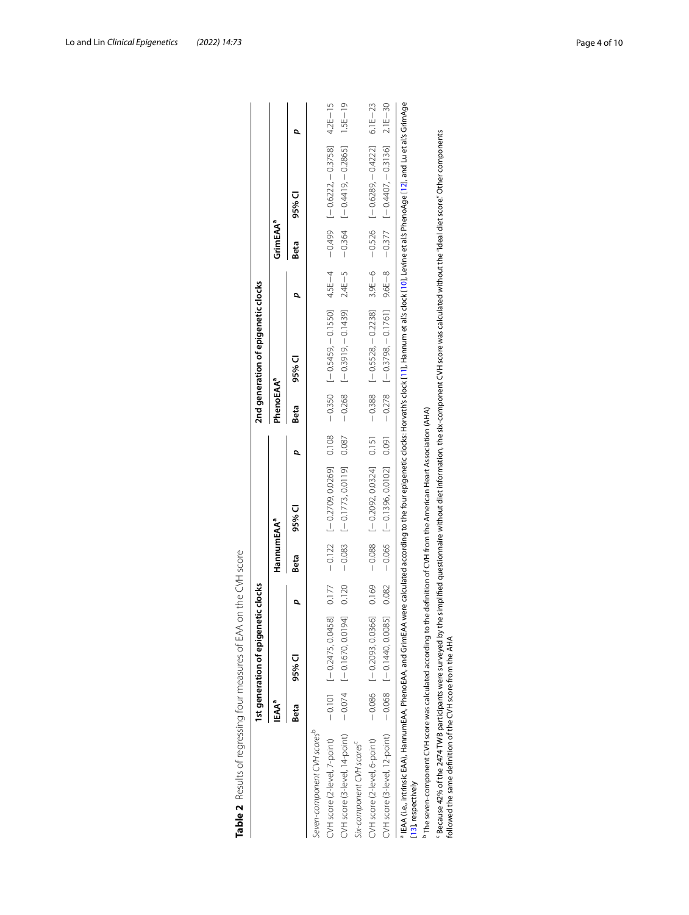|                                                                                                                                                                                                                                                                              |       | Ist generation of epigeneti  | icclocks |                        |                                  |       |                       | 2nd generation of epigenetic clocks                                                          |            |                      |                                     |             |
|------------------------------------------------------------------------------------------------------------------------------------------------------------------------------------------------------------------------------------------------------------------------------|-------|------------------------------|----------|------------------------|----------------------------------|-------|-----------------------|----------------------------------------------------------------------------------------------|------------|----------------------|-------------------------------------|-------------|
|                                                                                                                                                                                                                                                                              | ⊩EAAª |                              |          | HannumEAA <sup>a</sup> |                                  |       | PhenoEAA <sup>a</sup> |                                                                                              |            | GrimEAA <sup>a</sup> |                                     |             |
|                                                                                                                                                                                                                                                                              | Beta  | 95% Cl                       |          | Beta                   | 95% CI                           |       | Beta                  | 95% Cl                                                                                       |            | Beta                 | 95% Cl                              |             |
| Seven-component CVH scores <sup>b</sup>                                                                                                                                                                                                                                      |       |                              |          |                        |                                  |       |                       |                                                                                              |            |                      |                                     |             |
| CVH score (2-level, 7-point)                                                                                                                                                                                                                                                 |       | $-0.101$ $[-0.2475, 0.0458]$ | 0.177    |                        | $-0.122$ [-0.2709,0.0269] 0.108  |       |                       | $-15$ $-125$ $-15$ $-15$ $-15$ $-15$ $-15$ $-15$ $-15$ $-15$ $-15$ $-15$ $-15$ $-15$ $-15$   |            |                      |                                     |             |
| CVH score (3-level, 14-point)                                                                                                                                                                                                                                                |       | $-0.074$ $[-0.1670, 0.0194]$ | 0.120    | $-0.083$               | $[-0.1773, 0.0119]$              | 0.087 |                       | $-0.268$ $[-0.3910,-0.1439]$                                                                 | $2.4E - 5$ |                      | $-0.364$ [-0.4419, -0.2865]         | $1.5E - 19$ |
| Six-component CVH scores <sup>c</sup>                                                                                                                                                                                                                                        |       |                              |          |                        |                                  |       |                       |                                                                                              |            |                      |                                     |             |
| CVH score (2-level, 6-point)                                                                                                                                                                                                                                                 |       | $-0.086$ $[-0.2093, 0.0366]$ | 0.169    | $-0.088$               | $[-0.2092, 0.0324]$ 0.151        |       | $-0.388$              | $[-0.5528, -0.2238]$                                                                         |            |                      | $3.9E-6$ - 0.526 [-0.6289, -0.4222] | $6.1E - 23$ |
| CVH score (3-level, 12-point)                                                                                                                                                                                                                                                |       | $-0.068$ $-0.140$ , 0.0085   | 0.082    |                        | $-0.065$ [-0.1396, 0.0102] 0.091 |       |                       | $-0.278$ $[-0.3798, -0.1761]$ $-8 - 8$ $-6 = -8$ $-0.3777$ $-0.3736$ $-0.3136$ $-0.116 - 30$ |            |                      |                                     |             |
| PIEAA (i.e., intrinsic EAA), HannumEAA, and GrimEAA were calculated according to the four epigenetic clocks: Horvath's clock [11], Hannum et al's clock [10], Levine et al's PhenoAge [12], and Lu et al's GrimAge<br>[13], respectively                                     |       |                              |          |                        |                                  |       |                       |                                                                                              |            |                      |                                     |             |
| $^{\rm b}$ The seven-component CVH score was calculated according to the definition of CVH from the American Heart Association (AHA)                                                                                                                                         |       |                              |          |                        |                                  |       |                       |                                                                                              |            |                      |                                     |             |
| F Because 42% of the 2474 TWB participants were surveyed by the simplified questionnaire without diet information, the six-component CVH score was calculated without the "ideal diet score." Other components<br>followed the same definition of the CVH score from the AHA |       |                              |          |                        |                                  |       |                       |                                                                                              |            |                      |                                     |             |

<span id="page-3-0"></span>

| ۱<br>I<br>ļ<br>I<br>ì<br>i<br>Ï<br>۱<br>¢<br>I<br>Ì<br>I<br>¢<br>Ï<br>l<br>۱<br>j<br>١<br>j<br>í |
|--------------------------------------------------------------------------------------------------|
|                                                                                                  |
| $\sim$ $\sim$ $\sim$<br>1<br>j<br>l<br>١<br>I<br>j<br>ļ<br>i<br>١<br>j                           |
| ł<br>I<br>j                                                                                      |
| ֡֡֡֡֡֡֡֡<br>Ï<br>١<br>י<br>Ï<br>ı                                                                |
| í                                                                                                |
| ۱                                                                                                |
|                                                                                                  |
| í                                                                                                |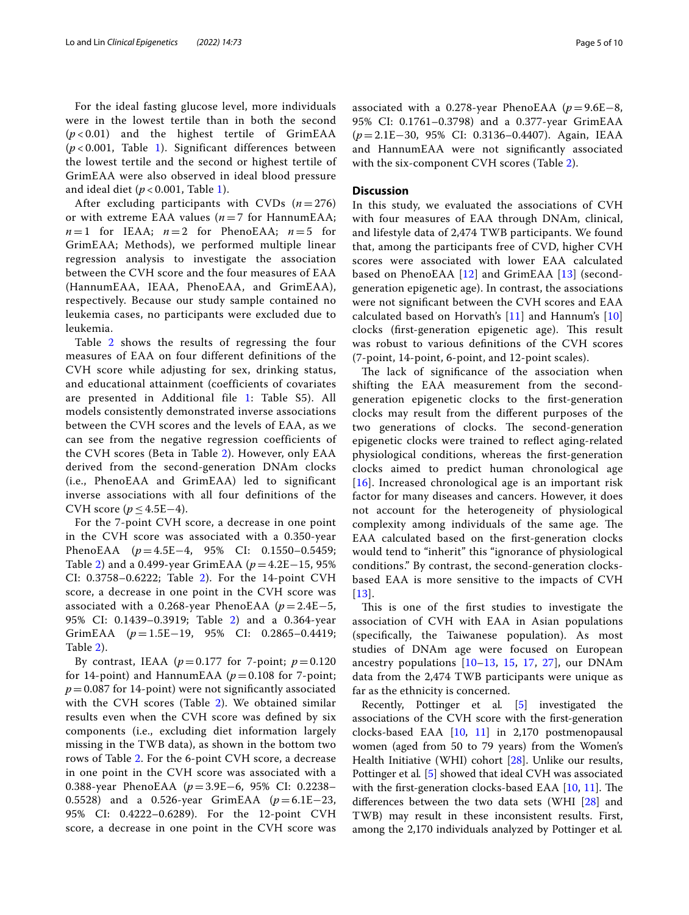For the ideal fasting glucose level, more individuals were in the lowest tertile than in both the second (*p* < 0.01) and the highest tertile of GrimEAA (*p* < 0.001, Table [1](#page-2-0)). Significant differences between the lowest tertile and the second or highest tertile of GrimEAA were also observed in ideal blood pressure and ideal diet (*p* < 0.001, Table [1\)](#page-2-0).

After excluding participants with CVDs  $(n=276)$ or with extreme EAA values  $(n=7$  for HannumEAA;  $n=1$  for IEAA;  $n=2$  for PhenoEAA;  $n=5$  for GrimEAA; Methods), we performed multiple linear regression analysis to investigate the association between the CVH score and the four measures of EAA (HannumEAA, IEAA, PhenoEAA, and GrimEAA), respectively. Because our study sample contained no leukemia cases, no participants were excluded due to leukemia.

Table [2](#page-3-0) shows the results of regressing the four measures of EAA on four different definitions of the CVH score while adjusting for sex, drinking status, and educational attainment (coefficients of covariates are presented in Additional file [1:](#page-7-0) Table S5). All models consistently demonstrated inverse associations between the CVH scores and the levels of EAA, as we can see from the negative regression coefficients of the CVH scores (Beta in Table [2\)](#page-3-0). However, only EAA derived from the second-generation DNAm clocks (i.e., PhenoEAA and GrimEAA) led to significant inverse associations with all four definitions of the CVH score ( $p \leq 4.5E-4$ ).

For the 7-point CVH score, a decrease in one point in the CVH score was associated with a 0.350-year PhenoEAA (*p* = 4.5E−4, 95% CI: 0.1550–0.5459; Table [2\)](#page-3-0) and a 0.499-year GrimEAA (*p* = 4.2E−15, 95% CI: 0.3758–0.6222; Table [2\)](#page-3-0). For the 14-point CVH score, a decrease in one point in the CVH score was associated with a 0.268-year PhenoEAA ( $p = 2.4E-5$ , 95% CI: 0.1439–0.3919; Table [2\)](#page-3-0) and a 0.364-year GrimEAA (*p* = 1.5E−19, 95% CI: 0.2865–0.4419; Table [2](#page-3-0)).

By contrast, IEAA ( $p=0.177$  for 7-point;  $p=0.120$ for 14-point) and HannumEAA ( $p = 0.108$  for 7-point;  $p = 0.087$  for 14-point) were not significantly associated with the CVH scores (Table [2](#page-3-0)). We obtained similar results even when the CVH score was defned by six components (i.e., excluding diet information largely missing in the TWB data), as shown in the bottom two rows of Table [2.](#page-3-0) For the 6-point CVH score, a decrease in one point in the CVH score was associated with a 0.388-year PhenoEAA (*p*=3.9E−6, 95% CI: 0.2238– 0.5528) and a 0.526-year GrimEAA (*p*=6.1E−23, 95% CI: 0.4222–0.6289). For the 12-point CVH score, a decrease in one point in the CVH score was associated with a 0.278-year PhenoEAA (*p*=9.6E−8, 95% CI: 0.1761–0.3798) and a 0.377-year GrimEAA (*p*=2.1E−30, 95% CI: 0.3136–0.4407). Again, IEAA and HannumEAA were not signifcantly associated with the six-component CVH scores (Table [2\)](#page-3-0).

### **Discussion**

In this study, we evaluated the associations of CVH with four measures of EAA through DNAm, clinical, and lifestyle data of 2,474 TWB participants. We found that, among the participants free of CVD, higher CVH scores were associated with lower EAA calculated based on PhenoEAA [[12](#page-8-15)] and GrimEAA [\[13](#page-8-8)] (secondgeneration epigenetic age). In contrast, the associations were not signifcant between the CVH scores and EAA calculated based on Horvath's [\[11](#page-8-10)] and Hannum's [\[10](#page-8-9)] clocks (first-generation epigenetic age). This result was robust to various defnitions of the CVH scores (7-point, 14-point, 6-point, and 12-point scales).

The lack of significance of the association when shifting the EAA measurement from the secondgeneration epigenetic clocks to the frst-generation clocks may result from the diferent purposes of the two generations of clocks. The second-generation epigenetic clocks were trained to refect aging-related physiological conditions, whereas the frst-generation clocks aimed to predict human chronological age [[16](#page-8-13)]. Increased chronological age is an important risk factor for many diseases and cancers. However, it does not account for the heterogeneity of physiological complexity among individuals of the same age. The EAA calculated based on the frst-generation clocks would tend to "inherit" this "ignorance of physiological conditions." By contrast, the second-generation clocksbased EAA is more sensitive to the impacts of CVH [[13](#page-8-8)].

This is one of the first studies to investigate the association of CVH with EAA in Asian populations (specifcally, the Taiwanese population). As most studies of DNAm age were focused on European ancestry populations [\[10](#page-8-9)[–13,](#page-8-8) [15](#page-8-12), [17](#page-8-14), [27](#page-9-3)], our DNAm data from the 2,474 TWB participants were unique as far as the ethnicity is concerned.

Recently, Pottinger et al*.* [\[5](#page-8-4)] investigated the associations of the CVH score with the frst-generation clocks-based EAA [[10](#page-8-9), [11](#page-8-10)] in 2,170 postmenopausal women (aged from 50 to 79 years) from the Women's Health Initiative (WHI) cohort [[28](#page-9-4)]. Unlike our results, Pottinger et al*.* [\[5\]](#page-8-4) showed that ideal CVH was associated with the first-generation clocks-based EAA  $[10, 11]$  $[10, 11]$  $[10, 11]$  $[10, 11]$ . The diferences between the two data sets (WHI [[28](#page-9-4)] and TWB) may result in these inconsistent results. First, among the 2,170 individuals analyzed by Pottinger et al*.*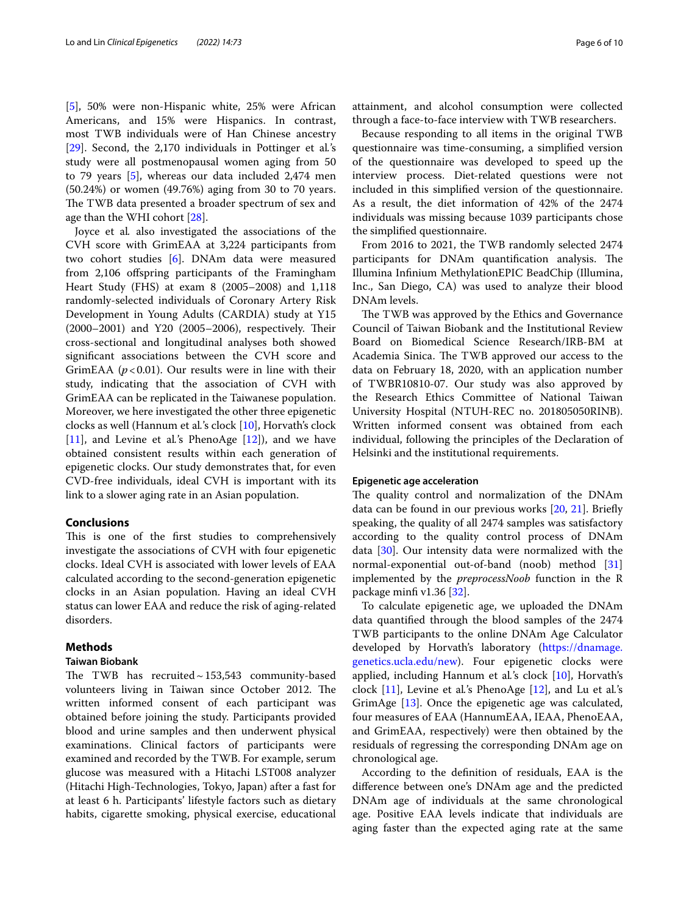[[5\]](#page-8-4), 50% were non-Hispanic white, 25% were African Americans, and 15% were Hispanics. In contrast, most TWB individuals were of Han Chinese ancestry [[29\]](#page-9-5). Second, the 2,170 individuals in Pottinger et al*.*'s study were all postmenopausal women aging from 50 to 79 years [[5\]](#page-8-4), whereas our data included 2,474 men (50.24%) or women (49.76%) aging from 30 to 70 years. The TWB data presented a broader spectrum of sex and age than the WHI cohort [[28\]](#page-9-4).

Joyce et al*.* also investigated the associations of the CVH score with GrimEAA at 3,224 participants from two cohort studies [\[6\]](#page-8-5). DNAm data were measured from 2,106 ofspring participants of the Framingham Heart Study (FHS) at exam 8 (2005–2008) and 1,118 randomly-selected individuals of Coronary Artery Risk Development in Young Adults (CARDIA) study at Y15  $(2000-2001)$  and Y20  $(2005-2006)$ , respectively. Their cross-sectional and longitudinal analyses both showed signifcant associations between the CVH score and GrimEAA  $(p<0.01)$ . Our results were in line with their study, indicating that the association of CVH with GrimEAA can be replicated in the Taiwanese population. Moreover, we here investigated the other three epigenetic clocks as well (Hannum et al*.*'s clock [[10\]](#page-8-9), Horvath's clock [[11\]](#page-8-10), and Levine et al*.*'s PhenoAge [[12\]](#page-8-15)), and we have obtained consistent results within each generation of epigenetic clocks. Our study demonstrates that, for even CVD-free individuals, ideal CVH is important with its link to a slower aging rate in an Asian population.

## **Conclusions**

This is one of the first studies to comprehensively investigate the associations of CVH with four epigenetic clocks. Ideal CVH is associated with lower levels of EAA calculated according to the second-generation epigenetic clocks in an Asian population. Having an ideal CVH status can lower EAA and reduce the risk of aging-related disorders.

## <span id="page-5-0"></span>**Methods**

## **Taiwan Biobank**

The TWB has recruited $\sim$ 153,543 community-based volunteers living in Taiwan since October 2012. The written informed consent of each participant was obtained before joining the study. Participants provided blood and urine samples and then underwent physical examinations. Clinical factors of participants were examined and recorded by the TWB. For example, serum glucose was measured with a Hitachi LST008 analyzer (Hitachi High-Technologies, Tokyo, Japan) after a fast for at least 6 h. Participants' lifestyle factors such as dietary habits, cigarette smoking, physical exercise, educational

attainment, and alcohol consumption were collected through a face-to-face interview with TWB researchers.

Because responding to all items in the original TWB questionnaire was time-consuming, a simplifed version of the questionnaire was developed to speed up the interview process. Diet-related questions were not included in this simplifed version of the questionnaire. As a result, the diet information of 42% of the 2474 individuals was missing because 1039 participants chose the simplifed questionnaire.

From 2016 to 2021, the TWB randomly selected 2474 participants for DNAm quantification analysis. The Illumina Infnium MethylationEPIC BeadChip (Illumina, Inc., San Diego, CA) was used to analyze their blood DNAm levels.

The TWB was approved by the Ethics and Governance Council of Taiwan Biobank and the Institutional Review Board on Biomedical Science Research/IRB-BM at Academia Sinica. The TWB approved our access to the data on February 18, 2020, with an application number of TWBR10810-07. Our study was also approved by the Research Ethics Committee of National Taiwan University Hospital (NTUH-REC no. 201805050RINB). Written informed consent was obtained from each individual, following the principles of the Declaration of Helsinki and the institutional requirements.

#### **Epigenetic age acceleration**

The quality control and normalization of the DNAm data can be found in our previous works [[20,](#page-8-19) [21\]](#page-8-17). Briefy speaking, the quality of all 2474 samples was satisfactory according to the quality control process of DNAm data [\[30](#page-9-6)]. Our intensity data were normalized with the normal-exponential out-of-band (noob) method [[31](#page-9-7)] implemented by the *preprocessNoob* function in the R package minfi v1.36 [[32\]](#page-9-8).

To calculate epigenetic age, we uploaded the DNAm data quantifed through the blood samples of the 2474 TWB participants to the online DNAm Age Calculator developed by Horvath's laboratory ([https://dnamage.](https://dnamage.genetics.ucla.edu/new) [genetics.ucla.edu/new\)](https://dnamage.genetics.ucla.edu/new). Four epigenetic clocks were applied, including Hannum et al*.*'s clock [[10](#page-8-9)], Horvath's clock [\[11\]](#page-8-10), Levine et al*.*'s PhenoAge [[12\]](#page-8-15), and Lu et al*.*'s GrimAge [[13\]](#page-8-8). Once the epigenetic age was calculated, four measures of EAA (HannumEAA, IEAA, PhenoEAA, and GrimEAA, respectively) were then obtained by the residuals of regressing the corresponding DNAm age on chronological age.

According to the defnition of residuals, EAA is the diference between one's DNAm age and the predicted DNAm age of individuals at the same chronological age. Positive EAA levels indicate that individuals are aging faster than the expected aging rate at the same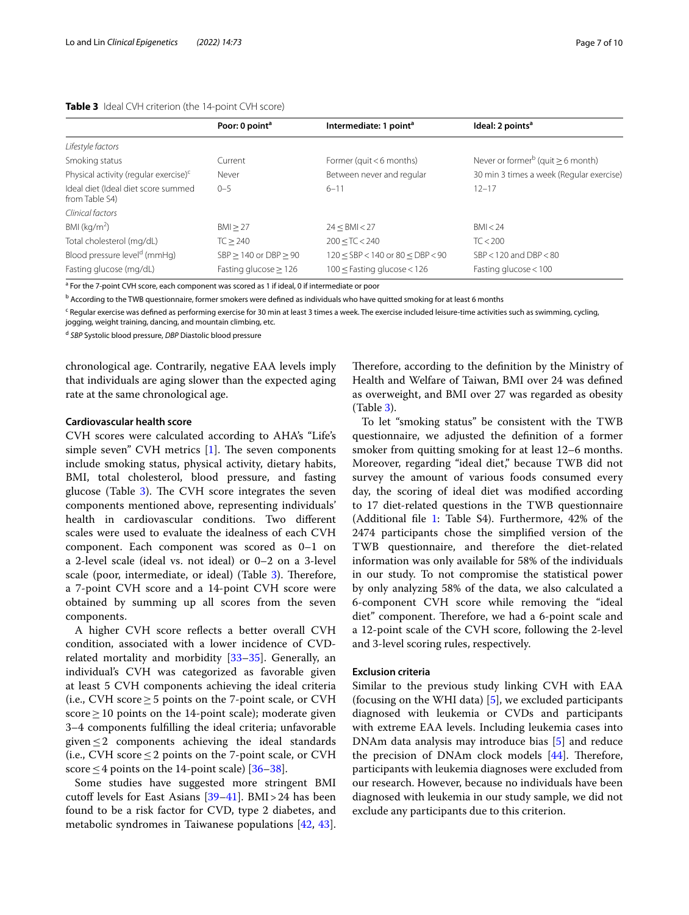<span id="page-6-0"></span>**Table 3** Ideal CVH criterion (the 14-point CVH score)

|                                                       | Poor: 0 point <sup>a</sup> | Intermediate: 1 point <sup>a</sup>       | Ideal: 2 points <sup>a</sup>                       |
|-------------------------------------------------------|----------------------------|------------------------------------------|----------------------------------------------------|
| Lifestyle factors                                     |                            |                                          |                                                    |
| Smoking status                                        | Current                    | Former (quit $<$ 6 months)               | Never or former <sup>b</sup> (quit $\geq 6$ month) |
| Physical activity (regular exercise) <sup>c</sup>     | Never                      | Between never and regular                | 30 min 3 times a week (Regular exercise)           |
| Ideal diet (Ideal diet score summed<br>from Table S4) | $0 - 5$                    | $6 - 11$                                 | $12 - 17$                                          |
| Clinical factors                                      |                            |                                          |                                                    |
| BMI ( $kg/m2$ )                                       | BM > 27                    | 24 < BMI < 27                            | BM < 24                                            |
| Total cholesterol (mg/dL)                             | TC > 240                   | 200 < TC < 240                           | TC < 200                                           |
| Blood pressure level <sup>d</sup> (mmHq)              | $SBP > 140$ or $DBP > 90$  | $120 <$ SBP $<$ 140 or 80 $<$ DBP $<$ 90 | $SBP < 120$ and $DBP < 80$                         |
| Fasting glucose (mg/dL)                               | Fasting glucose $\geq$ 126 | $100 \leq$ Fasting glucose < 126         | Fasting glucose $<$ 100                            |

<sup>a</sup> For the 7-point CVH score, each component was scored as 1 if ideal, 0 if intermediate or poor

<sup>b</sup> According to the TWB questionnaire, former smokers were defined as individuals who have quitted smoking for at least 6 months

<sup>c</sup> Regular exercise was defined as performing exercise for 30 min at least 3 times a week. The exercise included leisure-time activities such as swimming, cycling,

jogging, weight training, dancing, and mountain climbing, etc.

<sup>d</sup> *SBP* Systolic blood pressure, *DBP* Diastolic blood pressure

chronological age. Contrarily, negative EAA levels imply that individuals are aging slower than the expected aging rate at the same chronological age.

## **Cardiovascular health score**

CVH scores were calculated according to AHA's "Life's simple seven" CVH metrics  $[1]$  $[1]$ . The seven components include smoking status, physical activity, dietary habits, BMI, total cholesterol, blood pressure, and fasting glucose (Table [3\)](#page-6-0). The CVH score integrates the seven components mentioned above, representing individuals' health in cardiovascular conditions. Two diferent scales were used to evaluate the idealness of each CVH component. Each component was scored as 0–1 on a 2-level scale (ideal vs. not ideal) or 0–2 on a 3-level scale (poor, intermediate, or ideal) (Table [3](#page-6-0)). Therefore, a 7-point CVH score and a 14-point CVH score were obtained by summing up all scores from the seven components.

A higher CVH score refects a better overall CVH condition, associated with a lower incidence of CVDrelated mortality and morbidity [\[33](#page-9-9)[–35\]](#page-9-10). Generally, an individual's CVH was categorized as favorable given at least 5 CVH components achieving the ideal criteria (i.e., CVH score  $\geq$  5 points on the 7-point scale, or CVH score  $\geq$  10 points on the 14-point scale); moderate given 3–4 components fulflling the ideal criteria; unfavorable given $\leq$  2 components achieving the ideal standards (i.e., CVH score  $\leq$  2 points on the 7-point scale, or CVH score  $\leq$  4 points on the 14-point scale) [[36–](#page-9-11)[38](#page-9-12)].

Some studies have suggested more stringent BMI cutoff levels for East Asians  $[39-41]$  $[39-41]$  $[39-41]$ . BMI > 24 has been found to be a risk factor for CVD, type 2 diabetes, and metabolic syndromes in Taiwanese populations [\[42,](#page-9-15) [43](#page-9-16)]. Therefore, according to the definition by the Ministry of Health and Welfare of Taiwan, BMI over 24 was defned as overweight, and BMI over 27 was regarded as obesity (Table [3\)](#page-6-0).

To let "smoking status" be consistent with the TWB questionnaire, we adjusted the defnition of a former smoker from quitting smoking for at least 12–6 months. Moreover, regarding "ideal diet," because TWB did not survey the amount of various foods consumed every day, the scoring of ideal diet was modifed according to 17 diet-related questions in the TWB questionnaire (Additional fle [1](#page-7-0): Table S4). Furthermore, 42% of the 2474 participants chose the simplifed version of the TWB questionnaire, and therefore the diet-related information was only available for 58% of the individuals in our study. To not compromise the statistical power by only analyzing 58% of the data, we also calculated a 6-component CVH score while removing the "ideal diet" component. Therefore, we had a 6-point scale and a 12-point scale of the CVH score, following the 2-level and 3-level scoring rules, respectively.

## **Exclusion criteria**

Similar to the previous study linking CVH with EAA (focusing on the WHI data) [[5\]](#page-8-4), we excluded participants diagnosed with leukemia or CVDs and participants with extreme EAA levels. Including leukemia cases into DNAm data analysis may introduce bias [[5\]](#page-8-4) and reduce the precision of DNAm clock models  $[44]$  $[44]$  $[44]$ . Therefore, participants with leukemia diagnoses were excluded from our research. However, because no individuals have been diagnosed with leukemia in our study sample, we did not exclude any participants due to this criterion.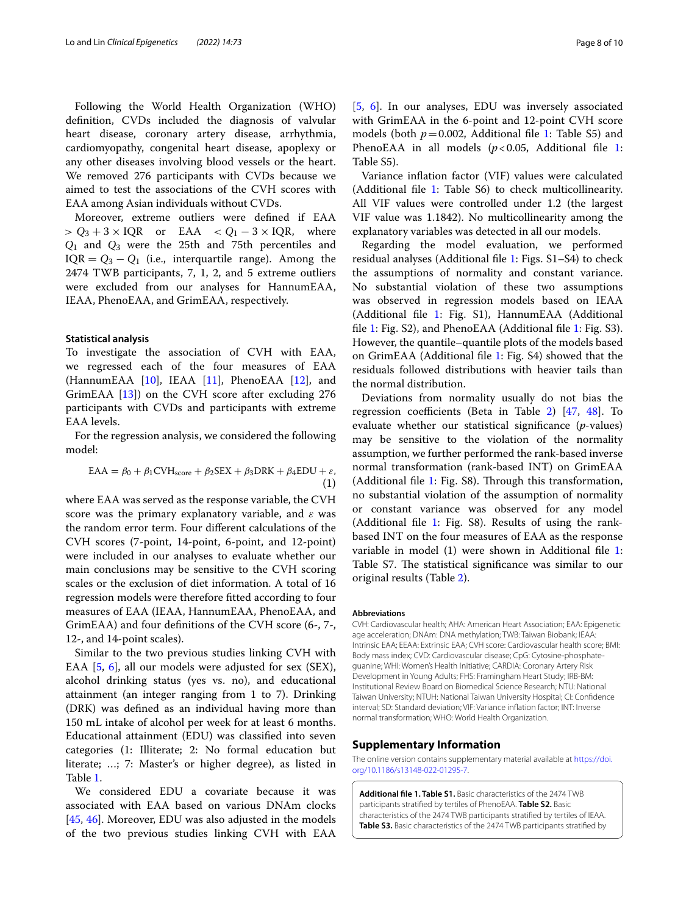Following the World Health Organization (WHO) defnition, CVDs included the diagnosis of valvular heart disease, coronary artery disease, arrhythmia, cardiomyopathy, congenital heart disease, apoplexy or any other diseases involving blood vessels or the heart. We removed 276 participants with CVDs because we aimed to test the associations of the CVH scores with EAA among Asian individuals without CVDs.

Moreover, extreme outliers were defned if EAA  $> Q_3 + 3 \times IQR$  or EAA  $< Q_1 - 3 \times IQR$ , where Q1 and Q3 were the 25th and 75th percentiles and  $IQR = Q_3 - Q_1$  (i.e., interquartile range). Among the 2474 TWB participants, 7, 1, 2, and 5 extreme outliers were excluded from our analyses for HannumEAA, IEAA, PhenoEAA, and GrimEAA, respectively.

## **Statistical analysis**

To investigate the association of CVH with EAA, we regressed each of the four measures of EAA (HannumEAA [\[10\]](#page-8-9), IEAA [\[11](#page-8-10)], PhenoEAA [\[12](#page-8-15)], and GrimEAA [[13\]](#page-8-8)) on the CVH score after excluding 276 participants with CVDs and participants with extreme EAA levels.

For the regression analysis, we considered the following model:

$$
EAA = \beta_0 + \beta_1 CVH_{score} + \beta_2 SEX + \beta_3 DRK + \beta_4 EDU + \varepsilon,
$$
\n(1)

where EAA was served as the response variable, the CVH score was the primary explanatory variable, and  $\varepsilon$  was the random error term. Four diferent calculations of the CVH scores (7-point, 14-point, 6-point, and 12-point) were included in our analyses to evaluate whether our main conclusions may be sensitive to the CVH scoring scales or the exclusion of diet information. A total of 16 regression models were therefore ftted according to four measures of EAA (IEAA, HannumEAA, PhenoEAA, and GrimEAA) and four defnitions of the CVH score (6-, 7-, 12-, and 14-point scales).

Similar to the two previous studies linking CVH with EAA [\[5](#page-8-4), [6\]](#page-8-5), all our models were adjusted for sex (SEX), alcohol drinking status (yes vs. no), and educational attainment (an integer ranging from 1 to 7). Drinking (DRK) was defned as an individual having more than 150 mL intake of alcohol per week for at least 6 months. Educational attainment (EDU) was classifed into seven categories (1: Illiterate; 2: No formal education but literate; …; 7: Master's or higher degree), as listed in Table [1](#page-2-0).

We considered EDU a covariate because it was associated with EAA based on various DNAm clocks [[45,](#page-9-18) [46\]](#page-9-19). Moreover, EDU was also adjusted in the models of the two previous studies linking CVH with EAA

[[5,](#page-8-4) [6](#page-8-5)]. In our analyses, EDU was inversely associated with GrimEAA in the 6-point and 12-point CVH score models (both  $p=0.002$ , Additional file [1](#page-7-0): Table S5) and PhenoEAA in all models  $(p<0.05$ , Additional file [1](#page-7-0): Table S5).

Variance infation factor (VIF) values were calculated (Additional fle [1:](#page-7-0) Table S6) to check multicollinearity. All VIF values were controlled under 1.2 (the largest VIF value was 1.1842). No multicollinearity among the explanatory variables was detected in all our models.

Regarding the model evaluation, we performed residual analyses (Additional fle [1:](#page-7-0) Figs. S1–S4) to check the assumptions of normality and constant variance. No substantial violation of these two assumptions was observed in regression models based on IEAA (Additional fle [1](#page-7-0): Fig. S1), HannumEAA (Additional fle [1:](#page-7-0) Fig. S2), and PhenoEAA (Additional fle [1:](#page-7-0) Fig. S3). However, the quantile–quantile plots of the models based on GrimEAA (Additional fle [1](#page-7-0): Fig. S4) showed that the residuals followed distributions with heavier tails than the normal distribution.

Deviations from normality usually do not bias the regression coefficients (Beta in Table [2\)](#page-3-0)  $[47, 48]$  $[47, 48]$  $[47, 48]$ . To evaluate whether our statistical signifcance (*p*-values) may be sensitive to the violation of the normality assumption, we further performed the rank-based inverse normal transformation (rank-based INT) on GrimEAA (Additional file [1](#page-7-0): Fig.  $S8$ ). Through this transformation, no substantial violation of the assumption of normality or constant variance was observed for any model (Additional fle [1](#page-7-0): Fig. S8). Results of using the rankbased INT on the four measures of EAA as the response variable in model (1) were shown in Additional fle [1](#page-7-0): Table S7. The statistical significance was similar to our original results (Table [2\)](#page-3-0).

#### **Abbreviations**

CVH: Cardiovascular health; AHA: American Heart Association; EAA: Epigenetic age acceleration; DNAm: DNA methylation; TWB: Taiwan Biobank; IEAA: Intrinsic EAA; EEAA: Extrinsic EAA; CVH score: Cardiovascular health score; BMI: Body mass index; CVD: Cardiovascular disease; CpG: Cytosine-phosphateguanine; WHI: Women's Health Initiative; CARDIA: Coronary Artery Risk Development in Young Adults; FHS: Framingham Heart Study; IRB-BM: Institutional Review Board on Biomedical Science Research; NTU: National Taiwan University; NTUH: National Taiwan University Hospital; CI: Confdence interval; SD: Standard deviation; VIF: Variance infation factor; INT: Inverse normal transformation; WHO: World Health Organization.

#### **Supplementary Information**

The online version contains supplementary material available at [https://doi.](https://doi.org/10.1186/s13148-022-01295-7) [org/10.1186/s13148-022-01295-7](https://doi.org/10.1186/s13148-022-01295-7).

<span id="page-7-0"></span>**Additional fle 1. Table S1.** Basic characteristics of the 2474 TWB participants stratifed by tertiles of PhenoEAA. **Table S2.** Basic characteristics of the 2474 TWB participants stratifed by tertiles of IEAA. **Table S3.** Basic characteristics of the 2474 TWB participants stratifed by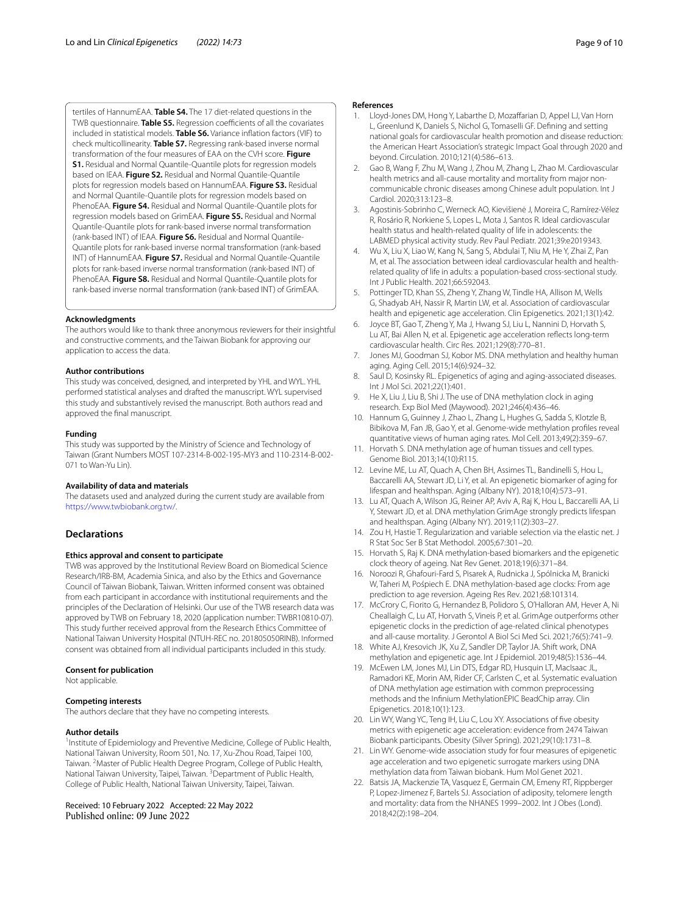tertiles of HannumEAA. **Table S4.** The 17 diet-related questions in the TWB questionnaire. **Table S5.** Regression coefficients of all the covariates included in statistical models. **Table S6.** Variance infation factors (VIF) to check multicollinearity. **Table S7.** Regressing rank-based inverse normal transformation of the four measures of EAA on the CVH score. **Figure S1.** Residual and Normal Quantile-Quantile plots for regression models based on IEAA. **Figure S2.** Residual and Normal Quantile-Quantile plots for regression models based on HannumEAA. **Figure S3.** Residual and Normal Quantile-Quantile plots for regression models based on PhenoEAA. **Figure S4.** Residual and Normal Quantile-Quantile plots for regression models based on GrimEAA. **Figure S5.** Residual and Normal Quantile-Quantile plots for rank-based inverse normal transformation (rank-based INT) of IEAA. **Figure S6.** Residual and Normal Quantile-Quantile plots for rank-based inverse normal transformation (rank-based INT) of HannumEAA. **Figure S7.** Residual and Normal Quantile-Quantile plots for rank-based inverse normal transformation (rank-based INT) of PhenoEAA. **Figure S8.** Residual and Normal Quantile-Quantile plots for rank-based inverse normal transformation (rank-based INT) of GrimEAA.

#### **Acknowledgments**

The authors would like to thank three anonymous reviewers for their insightful and constructive comments, and the Taiwan Biobank for approving our application to access the data.

#### **Author contributions**

This study was conceived, designed, and interpreted by YHL and WYL. YHL performed statistical analyses and drafted the manuscript. WYL supervised this study and substantively revised the manuscript. Both authors read and approved the fnal manuscript.

#### **Funding**

This study was supported by the Ministry of Science and Technology of Taiwan (Grant Numbers MOST 107-2314-B-002-195-MY3 and 110-2314-B-002-071 to Wan-Yu Lin).

#### **Availability of data and materials**

The datasets used and analyzed during the current study are available from [https://www.twbiobank.org.tw/.](https://www.twbiobank.org.tw/)

#### **Declarations**

#### **Ethics approval and consent to participate**

TWB was approved by the Institutional Review Board on Biomedical Science Research/IRB-BM, Academia Sinica, and also by the Ethics and Governance Council of Taiwan Biobank, Taiwan. Written informed consent was obtained from each participant in accordance with institutional requirements and the principles of the Declaration of Helsinki. Our use of the TWB research data was approved by TWB on February 18, 2020 (application number: TWBR10810-07). This study further received approval from the Research Ethics Committee of National Taiwan University Hospital (NTUH-REC no. 201805050RINB). Informed consent was obtained from all individual participants included in this study.

#### **Consent for publication**

Not applicable.

#### **Competing interests**

The authors declare that they have no competing interests.

#### **Author details**

<sup>1</sup> Institute of Epidemiology and Preventive Medicine, College of Public Health, National Taiwan University, Room 501, No. 17, Xu‑Zhou Road, Taipei 100, Taiwan. <sup>2</sup> Master of Public Health Degree Program, College of Public Health, National Taiwan University, Taipei, Taiwan. <sup>3</sup> Department of Public Health, College of Public Health, National Taiwan University, Taipei, Taiwan.

Received: 10 February 2022 Accepted: 22 May 2022

#### **References**

- <span id="page-8-0"></span>Lloyd-Jones DM, Hong Y, Labarthe D, Mozaffarian D, Appel LJ, Van Horn L, Greenlund K, Daniels S, Nichol G, Tomaselli GF. Defning and setting national goals for cardiovascular health promotion and disease reduction: the American Heart Association's strategic Impact Goal through 2020 and beyond. Circulation. 2010;121(4):586–613.
- <span id="page-8-1"></span>2. Gao B, Wang F, Zhu M, Wang J, Zhou M, Zhang L, Zhao M. Cardiovascular health metrics and all-cause mortality and mortality from major noncommunicable chronic diseases among Chinese adult population. Int J Cardiol. 2020;313:123–8.
- <span id="page-8-2"></span>3. Agostinis-Sobrinho C, Werneck AO, Kievišienė J, Moreira C, Ramírez-Vélez R, Rosário R, Norkiene S, Lopes L, Mota J, Santos R. Ideal cardiovascular health status and health-related quality of life in adolescents: the LABMED physical activity study. Rev Paul Pediatr. 2021;39:e2019343.
- <span id="page-8-3"></span>4. Wu X, Liu X, Liao W, Kang N, Sang S, Abdulai T, Niu M, He Y, Zhai Z, Pan M, et al. The association between ideal cardiovascular health and healthrelated quality of life in adults: a population-based cross-sectional study. Int J Public Health. 2021;66:592043.
- <span id="page-8-4"></span>5. Pottinger TD, Khan SS, Zheng Y, Zhang W, Tindle HA, Allison M, Wells G, Shadyab AH, Nassir R, Martin LW, et al. Association of cardiovascular health and epigenetic age acceleration. Clin Epigenetics. 2021;13(1):42.
- <span id="page-8-5"></span>6. Joyce BT, Gao T, Zheng Y, Ma J, Hwang SJ, Liu L, Nannini D, Horvath S, Lu AT, Bai Allen N, et al. Epigenetic age acceleration refects long-term cardiovascular health. Circ Res. 2021;129(8):770–81.
- <span id="page-8-6"></span>7. Jones MJ, Goodman SJ, Kobor MS. DNA methylation and healthy human aging. Aging Cell. 2015;14(6):924–32.
- 8. Saul D, Kosinsky RL. Epigenetics of aging and aging-associated diseases. Int J Mol Sci. 2021;22(1):401.
- <span id="page-8-7"></span>9. He X, Liu J, Liu B, Shi J. The use of DNA methylation clock in aging research. Exp Biol Med (Maywood). 2021;246(4):436–46.
- <span id="page-8-9"></span>10. Hannum G, Guinney J, Zhao L, Zhang L, Hughes G, Sadda S, Klotzle B, Bibikova M, Fan JB, Gao Y, et al. Genome-wide methylation profles reveal quantitative views of human aging rates. Mol Cell. 2013;49(2):359–67.
- <span id="page-8-10"></span>11. Horvath S. DNA methylation age of human tissues and cell types. Genome Biol. 2013;14(10):R115.
- <span id="page-8-15"></span>12. Levine ME, Lu AT, Quach A, Chen BH, Assimes TL, Bandinelli S, Hou L, Baccarelli AA, Stewart JD, Li Y, et al. An epigenetic biomarker of aging for lifespan and healthspan. Aging (Albany NY). 2018;10(4):573–91.
- <span id="page-8-8"></span>13. Lu AT, Quach A, Wilson JG, Reiner AP, Aviv A, Raj K, Hou L, Baccarelli AA, Li Y, Stewart JD, et al. DNA methylation GrimAge strongly predicts lifespan and healthspan. Aging (Albany NY). 2019;11(2):303–27.
- <span id="page-8-11"></span>14. Zou H, Hastie T. Regularization and variable selection via the elastic net. J R Stat Soc Ser B Stat Methodol. 2005;67:301–20.
- <span id="page-8-12"></span>15. Horvath S, Raj K. DNA methylation-based biomarkers and the epigenetic clock theory of ageing. Nat Rev Genet. 2018;19(6):371–84.
- <span id="page-8-13"></span>16. Noroozi R, Ghafouri-Fard S, Pisarek A, Rudnicka J, Spólnicka M, Branicki W, Taheri M, Pośpiech E. DNA methylation-based age clocks: From age prediction to age reversion. Ageing Res Rev. 2021;68:101314.
- <span id="page-8-14"></span>17. McCrory C, Fiorito G, Hernandez B, Polidoro S, O'Halloran AM, Hever A, Ni Cheallaigh C, Lu AT, Horvath S, Vineis P, et al. GrimAge outperforms other epigenetic clocks in the prediction of age-related clinical phenotypes and all-cause mortality. J Gerontol A Biol Sci Med Sci. 2021;76(5):741–9.
- <span id="page-8-16"></span>18. White AJ, Kresovich JK, Xu Z, Sandler DP, Taylor JA. Shift work, DNA methylation and epigenetic age. Int J Epidemiol. 2019;48(5):1536–44.
- 19. McEwen LM, Jones MJ, Lin DTS, Edgar RD, Husquin LT, MacIsaac JL, Ramadori KE, Morin AM, Rider CF, Carlsten C, et al. Systematic evaluation of DNA methylation age estimation with common preprocessing methods and the Infnium MethylationEPIC BeadChip array. Clin Epigenetics. 2018;10(1):123.
- <span id="page-8-19"></span>20. Lin WY, Wang YC, Teng IH, Liu C, Lou XY. Associations of fve obesity metrics with epigenetic age acceleration: evidence from 2474 Taiwan Biobank participants. Obesity (Silver Spring). 2021;29(10):1731–8.
- <span id="page-8-17"></span>21. Lin WY. Genome-wide association study for four measures of epigenetic age acceleration and two epigenetic surrogate markers using DNA methylation data from Taiwan biobank. Hum Mol Genet 2021.
- <span id="page-8-18"></span>22. Batsis JA, Mackenzie TA, Vasquez E, Germain CM, Emeny RT, Rippberger P, Lopez-Jimenez F, Bartels SJ. Association of adiposity, telomere length and mortality: data from the NHANES 1999–2002. Int J Obes (Lond). 2018;42(2):198–204.